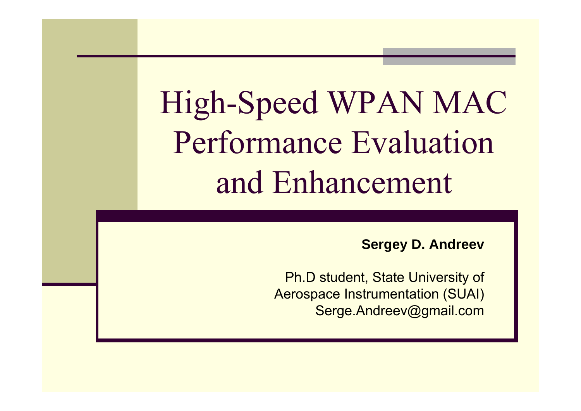High-Speed WPAN MAC Performance Evaluation and Enhancement

**Sergey D. Andreev**

Ph.D student, State University of Aerospace Instrumentation (SUAI) Serge.Andreev@gmail.com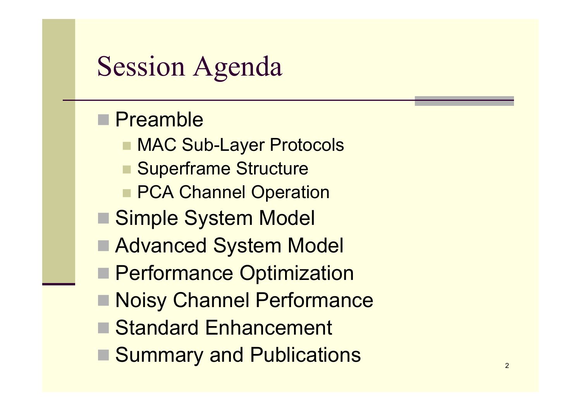#### Session Agenda

#### ■ Preamble

- MAC Sub-Layer Protocols
- Superframe Structure
- **PCA Channel Operation**
- Simple System Model
- Advanced System Model
- **Performance Optimization**
- **Noisy Channel Performance**
- Standard Enhancement
- Summary and Publications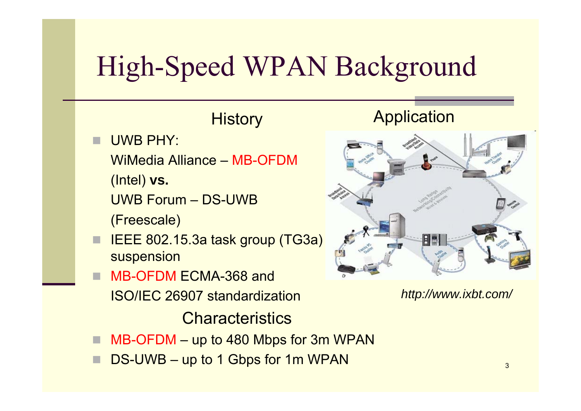# High-Speed WPAN Background

#### **Application History**  UWB PHY: WiMedia Alliance – MB-OFDM (Intel) **vs.** UWB Forum – DS-UWB(Freescale) IEEE 802.15.3a task group (TG3a) 月日 suspension MB-OFDM ECMA-368 and *http://www.ixbt.com/* ISO/IEC 26907 standardization**Characteristics**

- П MB-OFDM – up to 480 Mbps for 3m WPAN
- DS-UWB up to 1 Gbps for 1m WPAN

П

П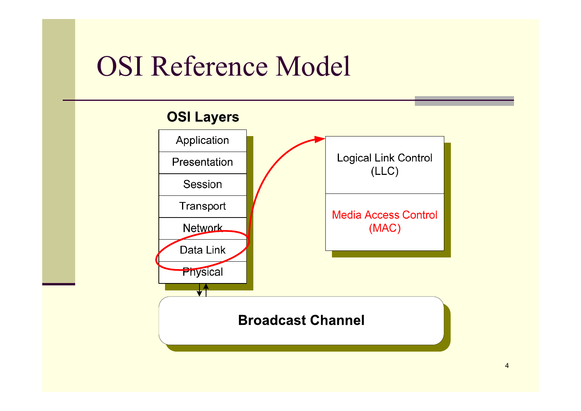#### OSI Reference Model

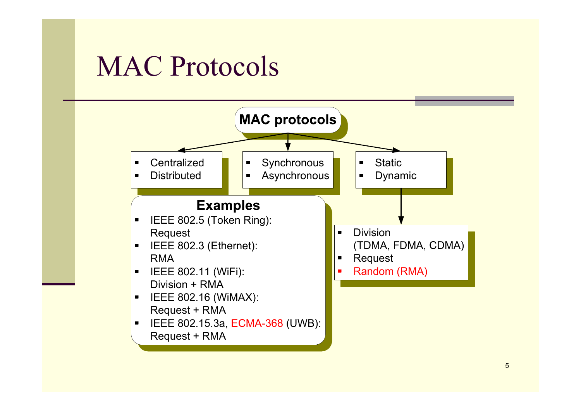#### MAC Protocols

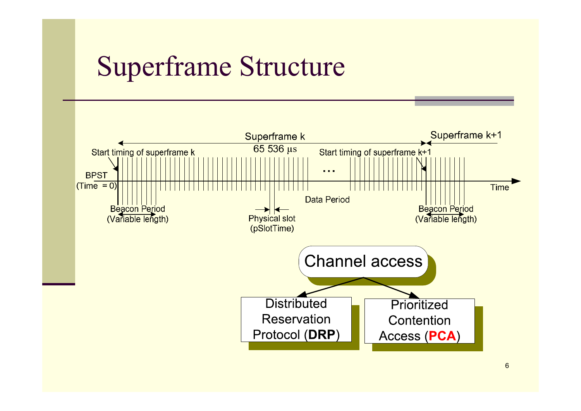#### Superframe Structure

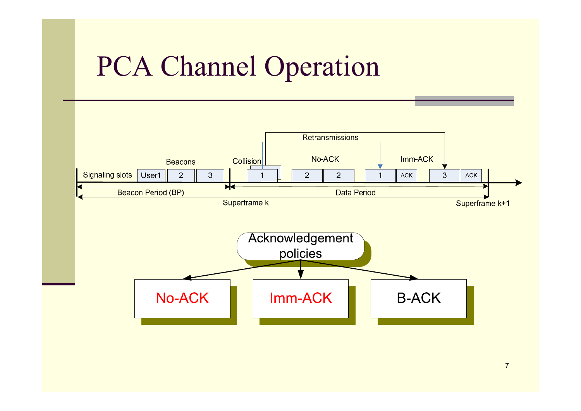#### PCA Channel Operation



7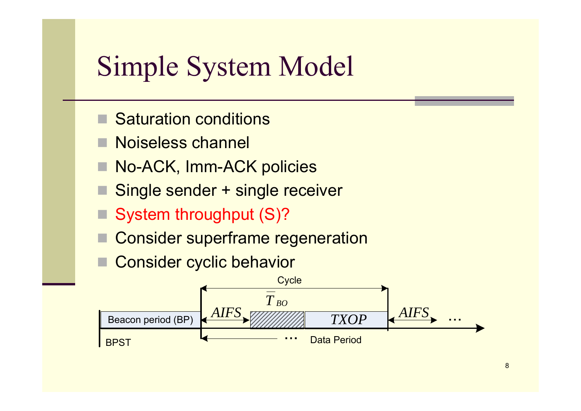#### Simple System Model

- Saturation conditions
- Noiseless channel
- No-ACK, Imm-ACK policies
- Single sender + single receiver
- System throughput (S)?
- Consider superframe regeneration
- Consider cyclic behavior

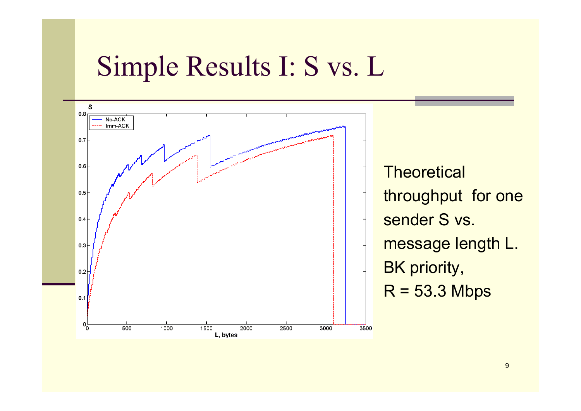#### Simple Results I: S vs. L

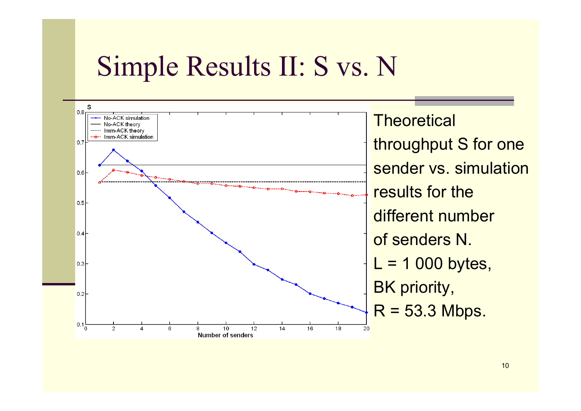#### Simple Results II: S vs. N

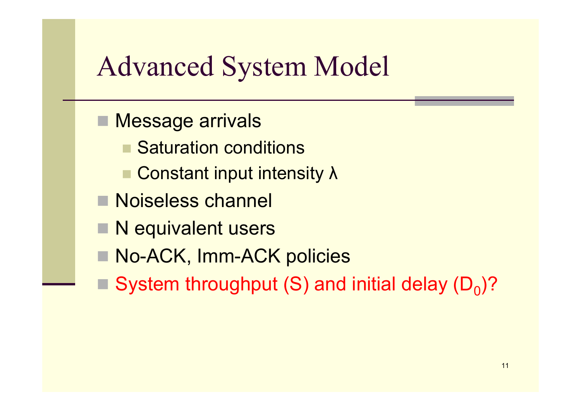#### Advanced System Model

- Message arrivals
	- Saturation conditions
	- Constant input intensity λ
- Noiseless channel
- N equivalent users
- No-ACK, Imm-ACK policies
- $\square$  System throughput (S) and initial delay (D<sub>0</sub>)?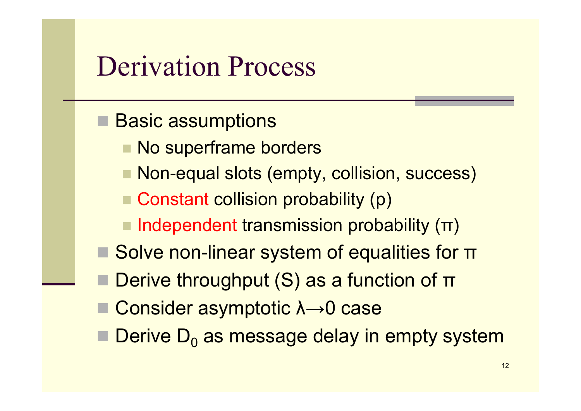#### Derivation Process

- Basic assumptions
	- **No superframe borders**
	- Non-equal slots (empty, collision, success)
	- Constant collision probability (p)
	- $\blacksquare$  Independent transmission probability  $(\blacksquare)$
- **Solve non-linear system of equalities for π**
- **Derive throughput (S) as a function of π**
- Consider asymptotic λ→0 case
- $\blacksquare$  Derive  $\mathsf{D}_{0}$  as message delay in empty system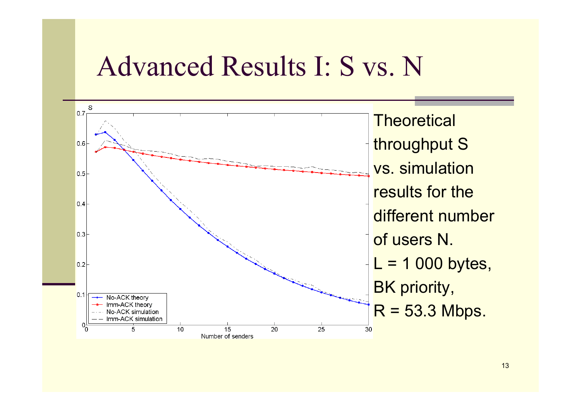#### Advanced Results I: S vs. N

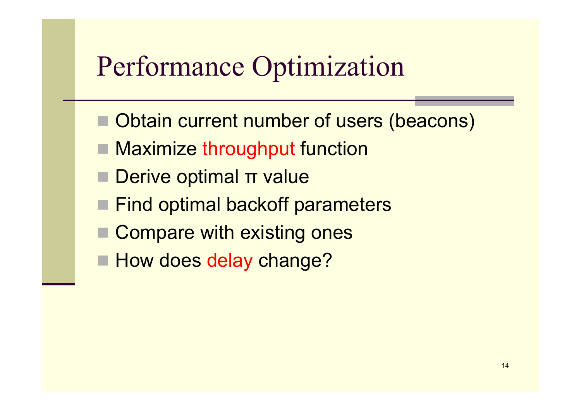# Performance Optimization

- Obtain current number of users (beacons)
- Maximize throughput function
- **Derive optimal π value**
- Find optimal backoff parameters
- Compare with existing ones
- **How does delay change?**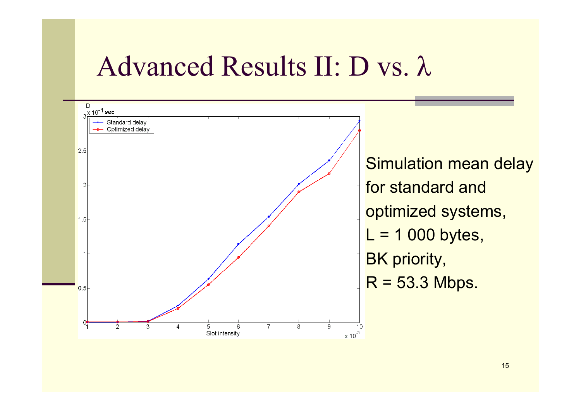#### Advanced Results II: D vs. λ

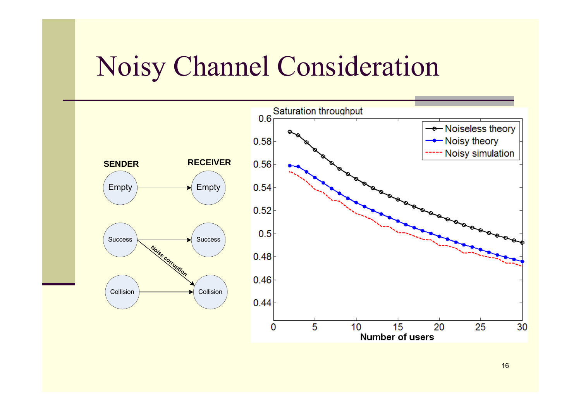#### Noisy Channel Consideration

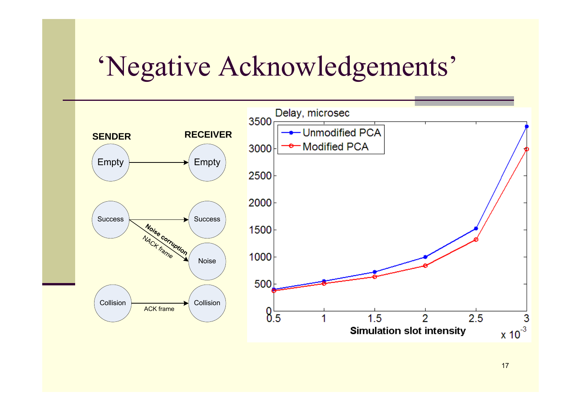## 'Negative Acknowledgements'